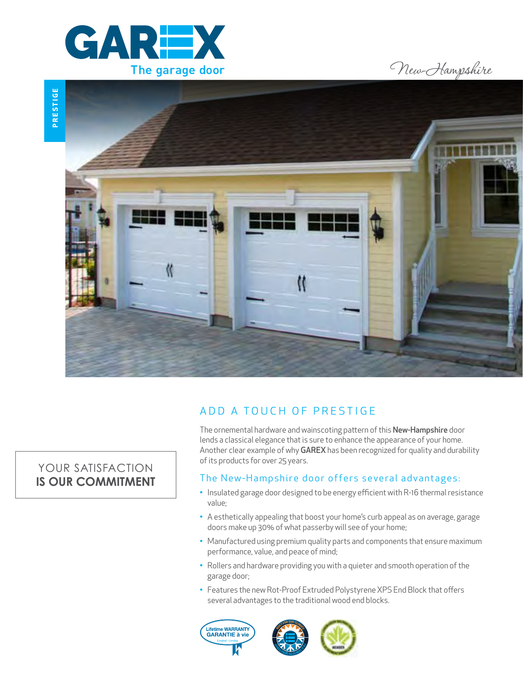

New-Hampshire



# ADD A TOUCH OF PRESTIGE

The ornemental hardware and wainscoting pattern of this New-Hampshire door lends a classical elegance that is sure to enhance the appearance of your home. Another clear example of why GAREX has been recognized for quality and durability of its products for over 25 years.

### The New-Hampshire door offers several advantages:

- Insulated garage door designed to be energy efficient with R-16 thermal resistance value;
- A esthetically appealing that boost your home's curb appeal as on average, garage doors make up 30% of what passerby will see of your home;
- Manufactured using premium quality parts and components that ensure maximum performance, value, and peace of mind;
- Rollers and hardware providing you with a quieter and smooth operation of the garage door;
- Features the new Rot-Proof Extruded Polystyrene XPS End Block that offers several advantages to the traditional wood end blocks.